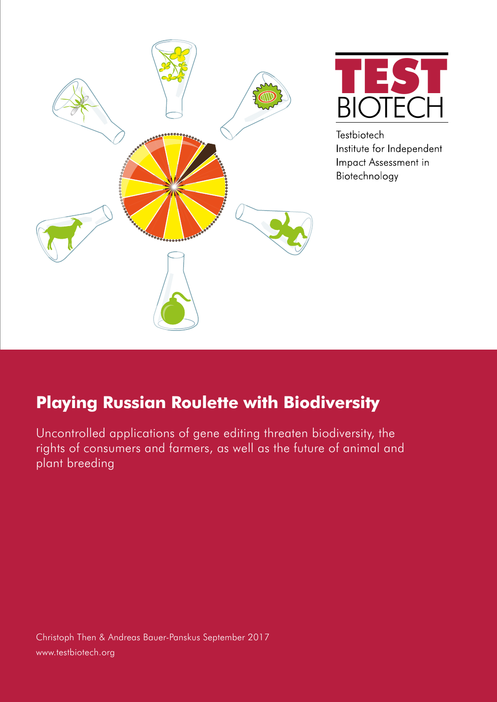



**Testbiotech** Institute for Independent Impact Assessment in Biotechnology

# **Playing Russian Roulette with Biodiversity**

Uncontrolled applications of gene editing threaten biodiversity, the rights of consumers and farmers, as well as the future of animal and plant breeding

Christoph Then & Andreas Bauer-Panskus September 2017 www.testbiotech.org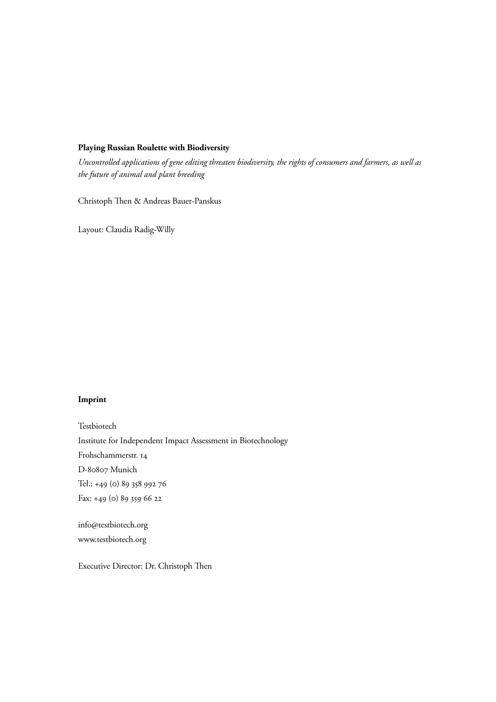### **Playing Russian Roulette with Biodiversity**

*Uncontrolled applications of gene editing threaten biodiversity, the rights of consumers and farmers, as well as the future of animal and plant breeding*

Christoph Then & Andreas Bauer-Panskus

Layout: Claudia Radig-Willy

### **Imprint**

**Impressum** Institute for Independent Impact Assessment in Biotechnology Testbenann Institut für unabhängige Folgenabschätzung in der Biotechnologie Tel.: +49 (0) 89 358 992 76<br>. Fax: +49 (0) 89 359 66 22 Testbiotech Frohschammerstr. 14 D-80807 Munich

Tel.: +49 (0) 89 358 992 76 info@testbiotech.org www.testbiotech.org

Executive Director: Dr. Christoph Then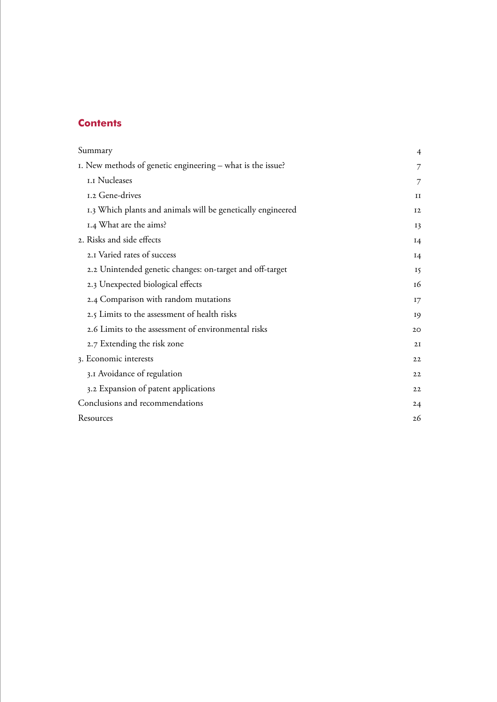# **Contents**

| Summary                                                     | 4              |
|-------------------------------------------------------------|----------------|
| I. New methods of genetic engineering – what is the issue?  | 7              |
| I.I Nucleases                                               | 7              |
| 1.2 Gene-drives                                             | $_{\rm II}$    |
| 1.3 Which plants and animals will be genetically engineered | 12             |
| 1.4 What are the aims?                                      | I <sub>3</sub> |
| 2. Risks and side effects                                   | I4             |
| 2.1 Varied rates of success                                 | I4             |
| 2.2 Unintended genetic changes: on-target and off-target    | 15             |
| 2.3 Unexpected biological effects                           | 16             |
| 2.4 Comparison with random mutations                        | 17             |
| 2.5 Limits to the assessment of health risks                | 19             |
| 2.6 Limits to the assessment of environmental risks         | 20             |
| 2.7 Extending the risk zone                                 | 2I             |
| 3. Economic interests                                       | 22             |
| 3.1 Avoidance of regulation                                 | 22             |
| 3.2 Expansion of patent applications                        | 22             |
| Conclusions and recommendations                             | 24             |
| Resources                                                   | 26             |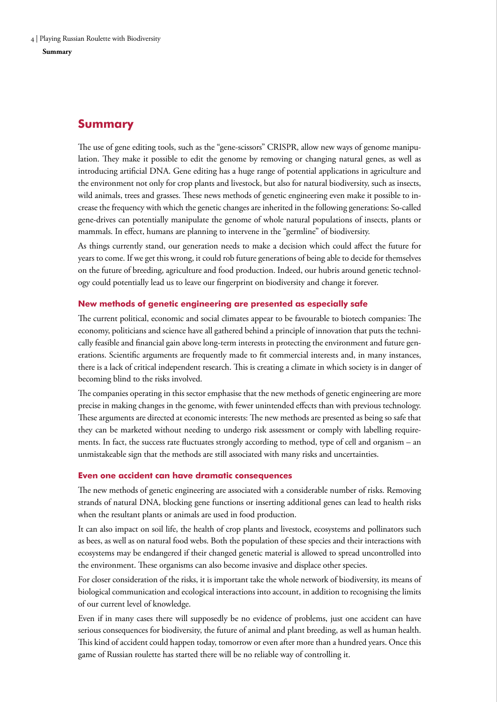# <span id="page-3-0"></span>**Summary**

The use of gene editing tools, such as the "gene-scissors" CRISPR, allow new ways of genome manipulation. They make it possible to edit the genome by removing or changing natural genes, as well as introducing artificial DNA. Gene editing has a huge range of potential applications in agriculture and the environment not only for crop plants and livestock, but also for natural biodiversity, such as insects, wild animals, trees and grasses. These news methods of genetic engineering even make it possible to increase the frequency with which the genetic changes are inherited in the following generations: So-called gene-drives can potentially manipulate the genome of whole natural populations of insects, plants or mammals. In effect, humans are planning to intervene in the "germline" of biodiversity.

As things currently stand, our generation needs to make a decision which could affect the future for years to come. If we get this wrong, it could rob future generations of being able to decide for themselves on the future of breeding, agriculture and food production. Indeed, our hubris around genetic technology could potentially lead us to leave our fingerprint on biodiversity and change it forever.

### **New methods of genetic engineering are presented as especially safe**

The current political, economic and social climates appear to be favourable to biotech companies: The economy, politicians and science have all gathered behind a principle of innovation that puts the technically feasible and financial gain above long-term interests in protecting the environment and future generations. Scientific arguments are frequently made to fit commercial interests and, in many instances, there is a lack of critical independent research. This is creating a climate in which society is in danger of becoming blind to the risks involved.

The companies operating in this sector emphasise that the new methods of genetic engineering are more precise in making changes in the genome, with fewer unintended effects than with previous technology. These arguments are directed at economic interests: The new methods are presented as being so safe that they can be marketed without needing to undergo risk assessment or comply with labelling requirements. In fact, the success rate fluctuates strongly according to method, type of cell and organism – an unmistakeable sign that the methods are still associated with many risks and uncertainties.

### **Even one accident can have dramatic consequences**

The new methods of genetic engineering are associated with a considerable number of risks. Removing strands of natural DNA, blocking gene functions or inserting additional genes can lead to health risks when the resultant plants or animals are used in food production.

It can also impact on soil life, the health of crop plants and livestock, ecosystems and pollinators such as bees, as well as on natural food webs. Both the population of these species and their interactions with ecosystems may be endangered if their changed genetic material is allowed to spread uncontrolled into the environment. These organisms can also become invasive and displace other species.

For closer consideration of the risks, it is important take the whole network of biodiversity, its means of biological communication and ecological interactions into account, in addition to recognising the limits of our current level of knowledge.

Even if in many cases there will supposedly be no evidence of problems, just one accident can have serious consequences for biodiversity, the future of animal and plant breeding, as well as human health. This kind of accident could happen today, tomorrow or even after more than a hundred years. Once this game of Russian roulette has started there will be no reliable way of controlling it.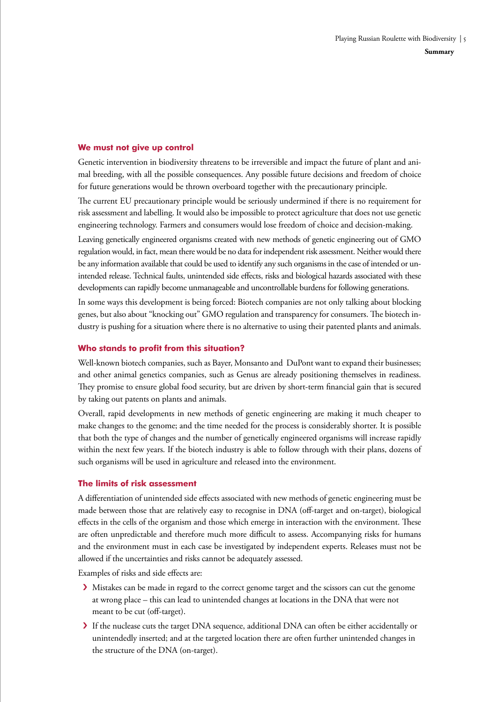### **We must not give up control**

Genetic intervention in biodiversity threatens to be irreversible and impact the future of plant and animal breeding, with all the possible consequences. Any possible future decisions and freedom of choice for future generations would be thrown overboard together with the precautionary principle.

The current EU precautionary principle would be seriously undermined if there is no requirement for risk assessment and labelling. It would also be impossible to protect agriculture that does not use genetic engineering technology. Farmers and consumers would lose freedom of choice and decision-making.

Leaving genetically engineered organisms created with new methods of genetic engineering out of GMO regulation would, in fact, mean there would be no data for independent risk assessment. Neither would there be any information available that could be used to identify any such organisms in the case of intended or unintended release. Technical faults, unintended side effects, risks and biological hazards associated with these developments can rapidly become unmanageable and uncontrollable burdens for following generations.

In some ways this development is being forced: Biotech companies are not only talking about blocking genes, but also about "knocking out" GMO regulation and transparency for consumers. The biotech industry is pushing for a situation where there is no alternative to using their patented plants and animals.

### **Who stands to profit from this situation?**

Well-known biotech companies, such as Bayer, Monsanto and DuPont want to expand their businesses; and other animal genetics companies, such as Genus are already positioning themselves in readiness. They promise to ensure global food security, but are driven by short-term financial gain that is secured by taking out patents on plants and animals.

Overall, rapid developments in new methods of genetic engineering are making it much cheaper to make changes to the genome; and the time needed for the process is considerably shorter. It is possible that both the type of changes and the number of genetically engineered organisms will increase rapidly within the next few years. If the biotech industry is able to follow through with their plans, dozens of such organisms will be used in agriculture and released into the environment.

### **The limits of risk assessment**

A differentiation of unintended side effects associated with new methods of genetic engineering must be made between those that are relatively easy to recognise in DNA (off-target and on-target), biological effects in the cells of the organism and those which emerge in interaction with the environment. These are often unpredictable and therefore much more difficult to assess. Accompanying risks for humans and the environment must in each case be investigated by independent experts. Releases must not be allowed if the uncertainties and risks cannot be adequately assessed.

Examples of risks and side effects are:

- › Mistakes can be made in regard to the correct genome target and the scissors can cut the genome at wrong place – this can lead to unintended changes at locations in the DNA that were not meant to be cut (off-target).
- › If the nuclease cuts the target DNA sequence, additional DNA can often be either accidentally or unintendedly inserted; and at the targeted location there are often further unintended changes in the structure of the DNA (on-target).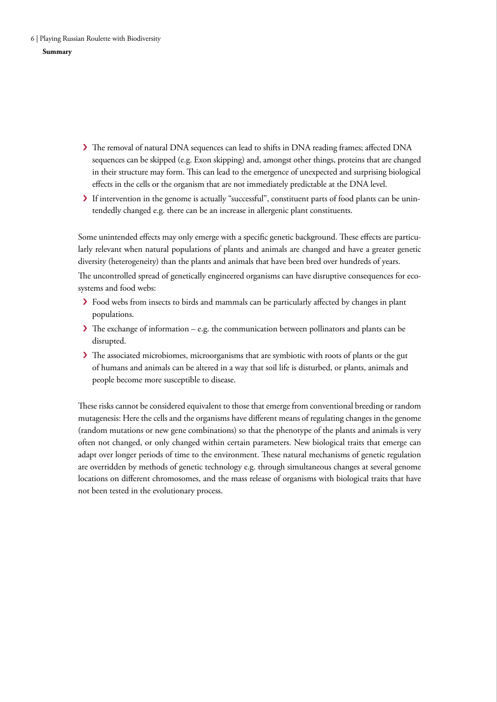6 | Playing Russian Roulette with Biodiversity

### **Summary**

- › The removal of natural DNA sequences can lead to shifts in DNA reading frames; affected DNA sequences can be skipped (e.g. Exon skipping) and, amongst other things, proteins that are changed in their structure may form. This can lead to the emergence of unexpected and surprising biological effects in the cells or the organism that are not immediately predictable at the DNA level.
- › If intervention in the genome is actually "successful", constituent parts of food plants can be unintendedly changed e.g. there can be an increase in allergenic plant constituents.

Some unintended effects may only emerge with a specific genetic background. These effects are particularly relevant when natural populations of plants and animals are changed and have a greater genetic diversity (heterogeneity) than the plants and animals that have been bred over hundreds of years. The uncontrolled spread of genetically engineered organisms can have disruptive consequences for ecosystems and food webs:

- › Food webs from insects to birds and mammals can be particularly affected by changes in plant populations.
- $\blacktriangleright$  The exchange of information e.g. the communication between pollinators and plants can be disrupted.
- > The associated microbiomes, microorganisms that are symbiotic with roots of plants or the gut of humans and animals can be altered in a way that soil life is disturbed, or plants, animals and people become more susceptible to disease.

These risks cannot be considered equivalent to those that emerge from conventional breeding or random mutagenesis: Here the cells and the organisms have different means of regulating changes in the genome (random mutations or new gene combinations) so that the phenotype of the plants and animals is very often not changed, or only changed within certain parameters. New biological traits that emerge can adapt over longer periods of time to the environment. These natural mechanisms of genetic regulation are overridden by methods of genetic technology e.g. through simultaneous changes at several genome locations on different chromosomes, and the mass release of organisms with biological traits that have not been tested in the evolutionary process.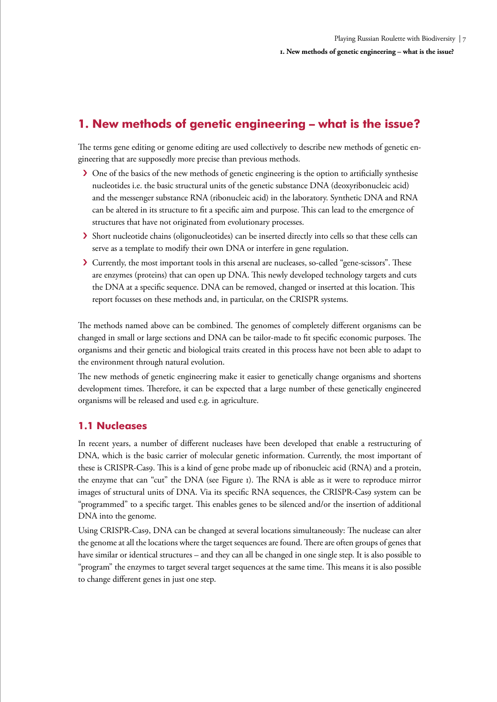# <span id="page-6-0"></span>**1. New methods of genetic engineering – what is the issue?**

The terms gene editing or genome editing are used collectively to describe new methods of genetic engineering that are supposedly more precise than previous methods.

- › One of the basics of the new methods of genetic engineering is the option to artificially synthesise nucleotides i.e. the basic structural units of the genetic substance DNA (deoxyribonucleic acid) and the messenger substance RNA (ribonucleic acid) in the laboratory. Synthetic DNA and RNA can be altered in its structure to fit a specific aim and purpose. This can lead to the emergence of structures that have not originated from evolutionary processes.
- › Short nucleotide chains (oligonucleotides) can be inserted directly into cells so that these cells can serve as a template to modify their own DNA or interfere in gene regulation.
- › Currently, the most important tools in this arsenal are nucleases, so-called "gene-scissors". These are enzymes (proteins) that can open up DNA. This newly developed technology targets and cuts the DNA at a specific sequence. DNA can be removed, changed or inserted at this location. This report focusses on these methods and, in particular, on the CRISPR systems.

The methods named above can be combined. The genomes of completely different organisms can be changed in small or large sections and DNA can be tailor-made to fit specific economic purposes. The organisms and their genetic and biological traits created in this process have not been able to adapt to the environment through natural evolution.

The new methods of genetic engineering make it easier to genetically change organisms and shortens development times. Therefore, it can be expected that a large number of these genetically engineered organisms will be released and used e.g. in agriculture.

# **1.1 Nucleases**

In recent years, a number of different nucleases have been developed that enable a restructuring of DNA, which is the basic carrier of molecular genetic information. Currently, the most important of these is CRISPR-Cas9. This is a kind of gene probe made up of ribonucleic acid (RNA) and a protein, the enzyme that can "cut" the DNA (see Figure 1). The RNA is able as it were to reproduce mirror images of structural units of DNA. Via its specific RNA sequences, the CRISPR-Cas9 system can be "programmed" to a specific target. This enables genes to be silenced and/or the insertion of additional DNA into the genome.

Using CRISPR-Cas9, DNA can be changed at several locations simultaneously: The nuclease can alter the genome at all the locations where the target sequences are found. There are often groups of genes that have similar or identical structures – and they can all be changed in one single step. It is also possible to "program" the enzymes to target several target sequences at the same time. This means it is also possible to change different genes in just one step.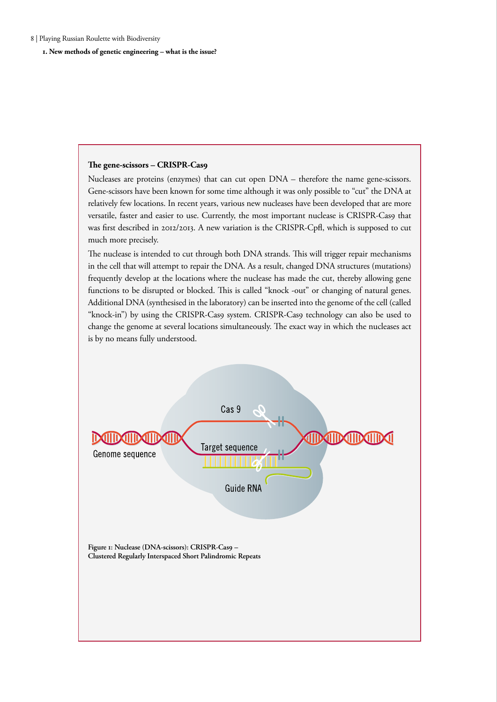**1. New methods of genetic engineering – what is the issue?** 

#### **The gene-scissors – CRISPR-Cas9**

Nucleases are proteins (enzymes) that can cut open DNA – therefore the name gene-scissors. Gene-scissors have been known for some time although it was only possible to "cut" the DNA at relatively few locations. In recent years, various new nucleases have been developed that are more versatile, faster and easier to use. Currently, the most important nuclease is CRISPR-Cas9 that was first described in 2012/2013. A new variation is the CRISPR-Cpfl, which is supposed to cut much more precisely.

The nuclease is intended to cut through both DNA strands. This will trigger repair mechanisms in the cell that will attempt to repair the DNA. As a result, changed DNA structures (mutations) frequently develop at the locations where the nuclease has made the cut, thereby allowing gene functions to be disrupted or blocked. This is called "knock -out" or changing of natural genes. Additional DNA (synthesised in the laboratory) can be inserted into the genome of the cell (called "knock-in") by using the CRISPR-Cas9 system. CRISPR-Cas9 technology can also be used to change the genome at several locations simultaneously. The exact way in which the nucleases act is by no means fully understood.

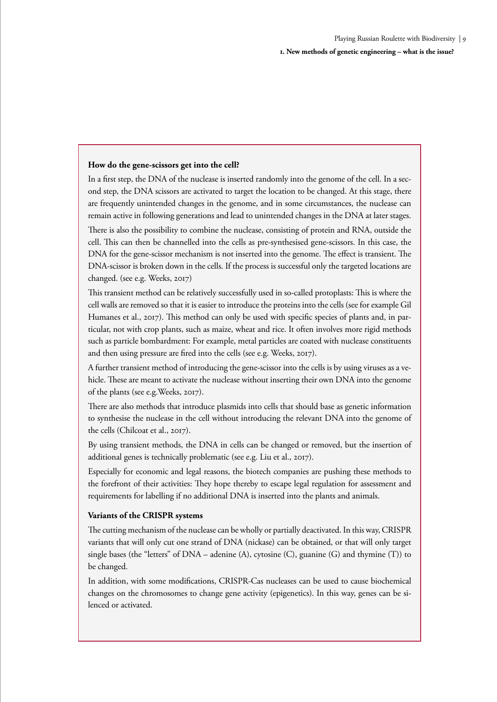### **How do the gene-scissors get into the cell?**

In a first step, the DNA of the nuclease is inserted randomly into the genome of the cell. In a second step, the DNA scissors are activated to target the location to be changed. At this stage, there are frequently unintended changes in the genome, and in some circumstances, the nuclease can remain active in following generations and lead to unintended changes in the DNA at later stages.

There is also the possibility to combine the nuclease, consisting of protein and RNA, outside the cell. This can then be channelled into the cells as pre-synthesised gene-scissors. In this case, the DNA for the gene-scissor mechanism is not inserted into the genome. The effect is transient. The DNA-scissor is broken down in the cells. If the process is successful only the targeted locations are changed. (see e.g. Weeks, 2017)

This transient method can be relatively successfully used in so-called protoplasts: This is where the cell walls are removed so that it is easier to introduce the proteins into the cells (see for example Gil Humanes et al., 2017). This method can only be used with specific species of plants and, in particular, not with crop plants, such as maize, wheat and rice. It often involves more rigid methods such as particle bombardment: For example, metal particles are coated with nuclease constituents and then using pressure are fired into the cells (see e.g. Weeks, 2017).

A further transient method of introducing the gene-scissor into the cells is by using viruses as a vehicle. These are meant to activate the nuclease without inserting their own DNA into the genome of the plants (see e.g.Weeks, 2017).

There are also methods that introduce plasmids into cells that should base as genetic information to synthesise the nuclease in the cell without introducing the relevant DNA into the genome of the cells (Chilcoat et al., 2017).

By using transient methods, the DNA in cells can be changed or removed, but the insertion of additional genes is technically problematic (see e.g. Liu et al., 2017).

Especially for economic and legal reasons, the biotech companies are pushing these methods to the forefront of their activities: They hope thereby to escape legal regulation for assessment and requirements for labelling if no additional DNA is inserted into the plants and animals.

### **Variants of the CRISPR systems**

The cutting mechanism of the nuclease can be wholly or partially deactivated. In this way, CRISPR variants that will only cut one strand of DNA (nickase) can be obtained, or that will only target single bases (the "letters" of  $DNA$  – adenine (A), cytosine (C), guanine (G) and thymine (T)) to be changed.

In addition, with some modifications, CRISPR-Cas nucleases can be used to cause biochemical changes on the chromosomes to change gene activity (epigenetics). In this way, genes can be silenced or activated.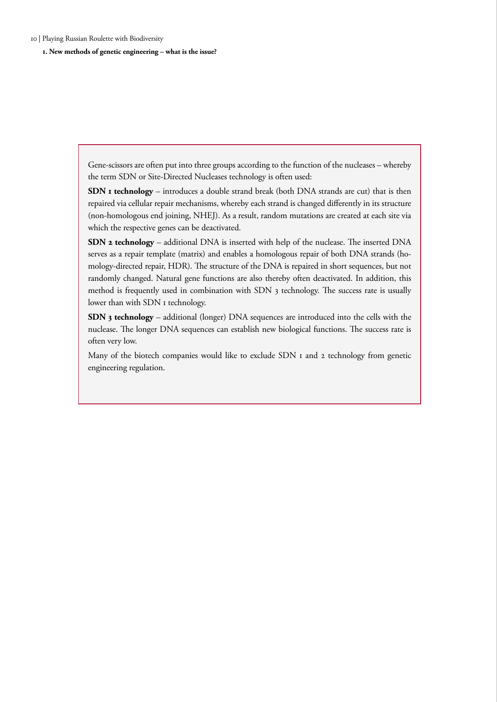10 | Playing Russian Roulette with Biodiversity

**1. New methods of genetic engineering – what is the issue?** 

Gene-scissors are often put into three groups according to the function of the nucleases – whereby the term SDN or Site-Directed Nucleases technology is often used:

**SDN 1 technology** – introduces a double strand break (both DNA strands are cut) that is then repaired via cellular repair mechanisms, whereby each strand is changed differently in its structure (non-homologous end joining, NHEJ). As a result, random mutations are created at each site via which the respective genes can be deactivated.

**SDN 2 technology** – additional DNA is inserted with help of the nuclease. The inserted DNA serves as a repair template (matrix) and enables a homologous repair of both DNA strands (homology-directed repair, HDR). The structure of the DNA is repaired in short sequences, but not randomly changed. Natural gene functions are also thereby often deactivated. In addition, this method is frequently used in combination with SDN 3 technology. The success rate is usually lower than with SDN 1 technology.

**SDN 3 technology** – additional (longer) DNA sequences are introduced into the cells with the nuclease. The longer DNA sequences can establish new biological functions. The success rate is often very low.

Many of the biotech companies would like to exclude SDN 1 and 2 technology from genetic engineering regulation.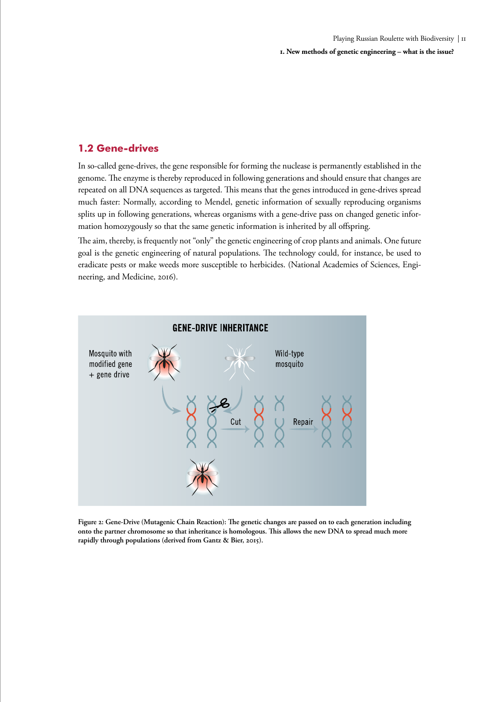### <span id="page-10-0"></span>**1.2 Gene-drives**

In so-called gene-drives, the gene responsible for forming the nuclease is permanently established in the genome. The enzyme is thereby reproduced in following generations and should ensure that changes are repeated on all DNA sequences as targeted. This means that the genes introduced in gene-drives spread much faster: Normally, according to Mendel, genetic information of sexually reproducing organisms splits up in following generations, whereas organisms with a gene-drive pass on changed genetic information homozygously so that the same genetic information is inherited by all offspring.

The aim, thereby, is frequently not "only" the genetic engineering of crop plants and animals. One future goal is the genetic engineering of natural populations. The technology could, for instance, be used to eradicate pests or make weeds more susceptible to herbicides. (National Academies of Sciences, Engineering, and Medicine, 2016).



**Figure 2: Gene-Drive (Mutagenic Chain Reaction): The genetic changes are passed on to each generation including onto the partner chromosome so that inheritance is homologous. This allows the new DNA to spread much more rapidly through populations (derived from Gantz & Bier, 2015).**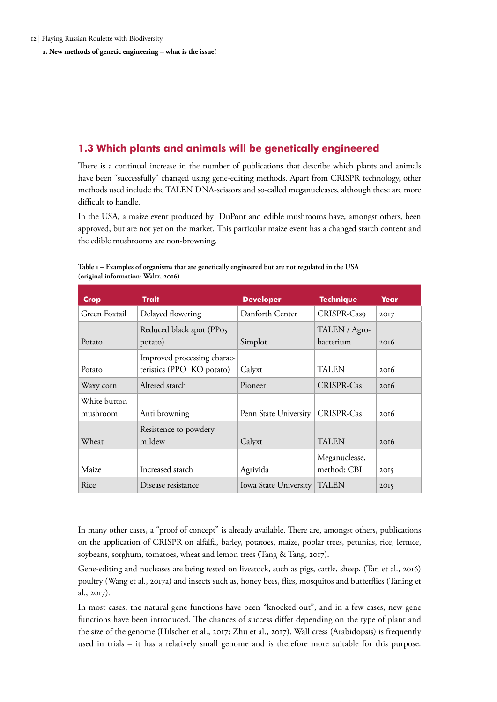<span id="page-11-0"></span>**1. New methods of genetic engineering – what is the issue?** 

# **1.3 Which plants and animals will be genetically engineered**

There is a continual increase in the number of publications that describe which plants and animals have been "successfully" changed using gene-editing methods. Apart from CRISPR technology, other methods used include the TALEN DNA-scissors and so-called meganucleases, although these are more difficult to handle.

In the USA, a maize event produced by DuPont and edible mushrooms have, amongst others, been approved, but are not yet on the market. This particular maize event has a changed starch content and the edible mushrooms are non-browning.

| <b>Crop</b>              | <b>Trait</b>                                             | <b>Developer</b>      | <b>Technique</b>             | Year |
|--------------------------|----------------------------------------------------------|-----------------------|------------------------------|------|
| Green Foxtail            | Delayed flowering                                        | Danforth Center       | CRISPR-Cas9                  | 2017 |
| Potato                   | Reduced black spot (PP05<br>potato)                      | Simplot               | TALEN / Agro-<br>bacterium   | 2016 |
| Potato                   | Improved processing charac-<br>teristics (PPO_KO potato) | Calyxt                | <b>TALEN</b>                 | 2016 |
| Waxy corn                | Altered starch                                           | Pioneer               | CRISPR-Cas                   | 2016 |
| White button<br>mushroom | Anti browning                                            | Penn State University | CRISPR-Cas                   | 2016 |
| Wheat                    | Resistence to powdery<br>mildew                          | Calyxt                | <b>TALEN</b>                 | 20I6 |
| Maize                    | Increased starch                                         | Agrivida              | Meganuclease,<br>method: CBI | 2015 |
| Rice                     | Disease resistance                                       | Iowa State University | <b>TALEN</b>                 | 2015 |

**Table 1 – Examples of organisms that are genetically engineered but are not regulated in the USA (original information: Waltz, 2016)** 

In many other cases, a "proof of concept" is already available. There are, amongst others, publications on the application of CRISPR on alfalfa, barley, potatoes, maize, poplar trees, petunias, rice, lettuce, soybeans, sorghum, tomatoes, wheat and lemon trees (Tang & Tang, 2017).

Gene-editing and nucleases are being tested on livestock, such as pigs, cattle, sheep, (Tan et al., 2016) poultry (Wang et al., 2017a) and insects such as, honey bees, flies, mosquitos and butterflies (Taning et al., 2017).

In most cases, the natural gene functions have been "knocked out", and in a few cases, new gene functions have been introduced. The chances of success differ depending on the type of plant and the size of the genome (Hilscher et al., 2017; Zhu et al., 2017). Wall cress (Arabidopsis) is frequently used in trials – it has a relatively small genome and is therefore more suitable for this purpose.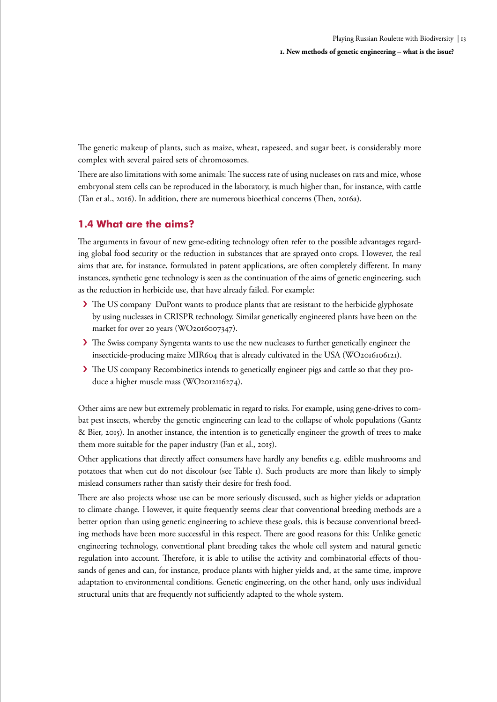<span id="page-12-0"></span>The genetic makeup of plants, such as maize, wheat, rapeseed, and sugar beet, is considerably more complex with several paired sets of chromosomes.

There are also limitations with some animals: The success rate of using nucleases on rats and mice, whose embryonal stem cells can be reproduced in the laboratory, is much higher than, for instance, with cattle (Tan et al., 2016). In addition, there are numerous bioethical concerns (Then, 2016a).

# **1.4 What are the aims?**

The arguments in favour of new gene-editing technology often refer to the possible advantages regarding global food security or the reduction in substances that are sprayed onto crops. However, the real aims that are, for instance, formulated in patent applications, are often completely different. In many instances, synthetic gene technology is seen as the continuation of the aims of genetic engineering, such as the reduction in herbicide use, that have already failed. For example:

- › The US company DuPont wants to produce plants that are resistant to the herbicide glyphosate by using nucleases in CRISPR technology. Similar genetically engineered plants have been on the market for over 20 years (WO2016007347).
- › The Swiss company Syngenta wants to use the new nucleases to further genetically engineer the insecticide-producing maize MIR604 that is already cultivated in the USA (WO2016106121).
- › The US company Recombinetics intends to genetically engineer pigs and cattle so that they produce a higher muscle mass (WO2012116274).

Other aims are new but extremely problematic in regard to risks. For example, using gene-drives to combat pest insects, whereby the genetic engineering can lead to the collapse of whole populations (Gantz & Bier, 2015). In another instance, the intention is to genetically engineer the growth of trees to make them more suitable for the paper industry (Fan et al., 2015).

Other applications that directly affect consumers have hardly any benefits e.g. edible mushrooms and potatoes that when cut do not discolour (see Table 1). Such products are more than likely to simply mislead consumers rather than satisfy their desire for fresh food.

There are also projects whose use can be more seriously discussed, such as higher yields or adaptation to climate change. However, it quite frequently seems clear that conventional breeding methods are a better option than using genetic engineering to achieve these goals, this is because conventional breeding methods have been more successful in this respect. There are good reasons for this: Unlike genetic engineering technology, conventional plant breeding takes the whole cell system and natural genetic regulation into account. Therefore, it is able to utilise the activity and combinatorial effects of thousands of genes and can, for instance, produce plants with higher yields and, at the same time, improve adaptation to environmental conditions. Genetic engineering, on the other hand, only uses individual structural units that are frequently not sufficiently adapted to the whole system.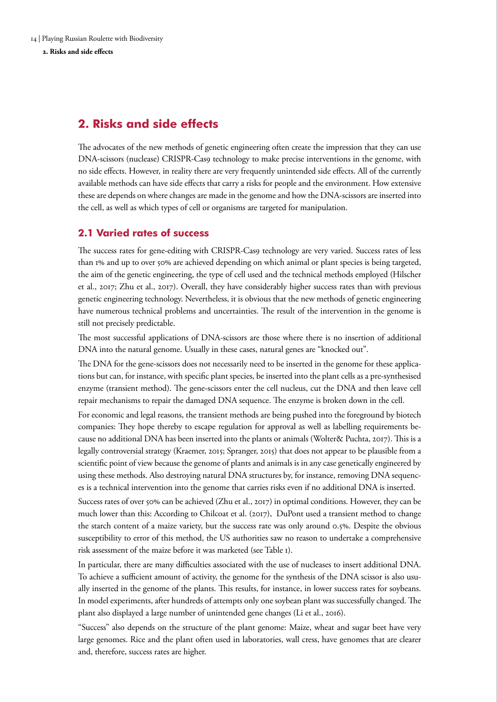<span id="page-13-0"></span>**2. Risks and side effects** 

# **2. Risks and side effects**

The advocates of the new methods of genetic engineering often create the impression that they can use DNA-scissors (nuclease) CRISPR-Cas9 technology to make precise interventions in the genome, with no side effects. However, in reality there are very frequently unintended side effects. All of the currently available methods can have side effects that carry a risks for people and the environment. How extensive these are depends on where changes are made in the genome and how the DNA-scissors are inserted into the cell, as well as which types of cell or organisms are targeted for manipulation.

# **2.1 Varied rates of success**

The success rates for gene-editing with CRISPR-Cas9 technology are very varied. Success rates of less than 1% and up to over 50% are achieved depending on which animal or plant species is being targeted, the aim of the genetic engineering, the type of cell used and the technical methods employed (Hilscher et al., 2017; Zhu et al., 2017). Overall, they have considerably higher success rates than with previous genetic engineering technology. Nevertheless, it is obvious that the new methods of genetic engineering have numerous technical problems and uncertainties. The result of the intervention in the genome is still not precisely predictable.

The most successful applications of DNA-scissors are those where there is no insertion of additional DNA into the natural genome. Usually in these cases, natural genes are "knocked out".

The DNA for the gene-scissors does not necessarily need to be inserted in the genome for these applications but can, for instance, with specific plant species, be inserted into the plant cells as a pre-synthesised enzyme (transient method). The gene-scissors enter the cell nucleus, cut the DNA and then leave cell repair mechanisms to repair the damaged DNA sequence. The enzyme is broken down in the cell.

For economic and legal reasons, the transient methods are being pushed into the foreground by biotech companies: They hope thereby to escape regulation for approval as well as labelling requirements because no additional DNA has been inserted into the plants or animals (Wolter& Puchta, 2017). This is a legally controversial strategy (Kraemer, 2015; Spranger, 2015) that does not appear to be plausible from a scientific point of view because the genome of plants and animals is in any case genetically engineered by using these methods. Also destroying natural DNA structures by, for instance, removing DNA sequences is a technical intervention into the genome that carries risks even if no additional DNA is inserted.

Success rates of over 50% can be achieved (Zhu et al., 2017) in optimal conditions. However, they can be much lower than this: According to Chilcoat et al. (2017), DuPont used a transient method to change the starch content of a maize variety, but the success rate was only around 0.5%. Despite the obvious susceptibility to error of this method, the US authorities saw no reason to undertake a comprehensive risk assessment of the maize before it was marketed (see Table 1).

In particular, there are many difficulties associated with the use of nucleases to insert additional DNA. To achieve a sufficient amount of activity, the genome for the synthesis of the DNA scissor is also usually inserted in the genome of the plants. This results, for instance, in lower success rates for soybeans. In model experiments, after hundreds of attempts only one soybean plant was successfully changed. The plant also displayed a large number of unintended gene changes (Li et al., 2016).

"Success" also depends on the structure of the plant genome: Maize, wheat and sugar beet have very large genomes. Rice and the plant often used in laboratories, wall cress, have genomes that are clearer and, therefore, success rates are higher.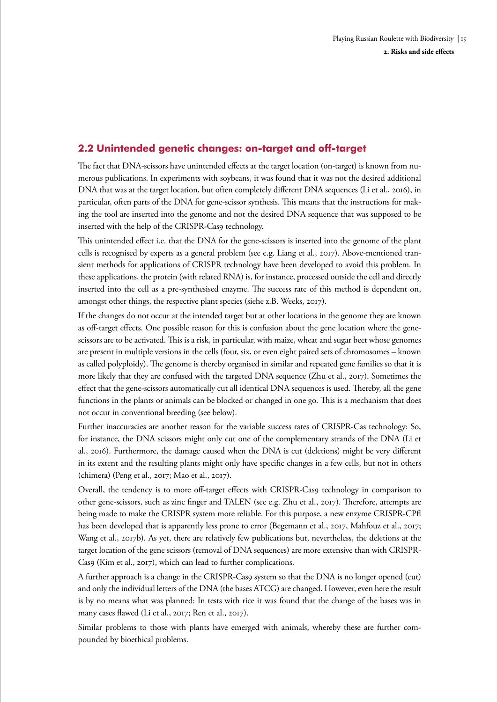# <span id="page-14-0"></span>**2.2 Unintended genetic changes: on-target and off-target**

The fact that DNA-scissors have unintended effects at the target location (on-target) is known from numerous publications. In experiments with soybeans, it was found that it was not the desired additional DNA that was at the target location, but often completely different DNA sequences (Li et al., 2016), in particular, often parts of the DNA for gene-scissor synthesis. This means that the instructions for making the tool are inserted into the genome and not the desired DNA sequence that was supposed to be inserted with the help of the CRISPR-Cas9 technology.

This unintended effect i.e. that the DNA for the gene-scissors is inserted into the genome of the plant cells is recognised by experts as a general problem (see e.g. Liang et al., 2017). Above-mentioned transient methods for applications of CRISPR technology have been developed to avoid this problem. In these applications, the protein (with related RNA) is, for instance, processed outside the cell and directly inserted into the cell as a pre-synthesised enzyme. The success rate of this method is dependent on, amongst other things, the respective plant species (siehe z.B. Weeks, 2017).

If the changes do not occur at the intended target but at other locations in the genome they are known as off-target effects. One possible reason for this is confusion about the gene location where the genescissors are to be activated. This is a risk, in particular, with maize, wheat and sugar beet whose genomes are present in multiple versions in the cells (four, six, or even eight paired sets of chromosomes – known as called polyploidy). The genome is thereby organised in similar and repeated gene families so that it is more likely that they are confused with the targeted DNA sequence (Zhu et al., 2017). Sometimes the effect that the gene-scissors automatically cut all identical DNA sequences is used. Thereby, all the gene functions in the plants or animals can be blocked or changed in one go. This is a mechanism that does not occur in conventional breeding (see below).

Further inaccuracies are another reason for the variable success rates of CRISPR-Cas technology: So, for instance, the DNA scissors might only cut one of the complementary strands of the DNA (Li et al., 2016). Furthermore, the damage caused when the DNA is cut (deletions) might be very different in its extent and the resulting plants might only have specific changes in a few cells, but not in others (chimera) (Peng et al., 2017; Mao et al., 2017).

Overall, the tendency is to more off-target effects with CRISPR-Cas9 technology in comparison to other gene-scissors, such as zinc finger and TALEN (see e.g. Zhu et al., 2017). Therefore, attempts are being made to make the CRISPR system more reliable. For this purpose, a new enzyme CRISPR-CPfl has been developed that is apparently less prone to error (Begemann et al., 2017, Mahfouz et al., 2017; Wang et al., 2017b). As yet, there are relatively few publications but, nevertheless, the deletions at the target location of the gene scissors (removal of DNA sequences) are more extensive than with CRISPR-Cas9 (Kim et al., 2017), which can lead to further complications.

A further approach is a change in the CRISPR-Cas9 system so that the DNA is no longer opened (cut) and only the individual letters of the DNA (the bases ATCG) are changed. However, even here the result is by no means what was planned: In tests with rice it was found that the change of the bases was in many cases flawed (Li et al., 2017; Ren et al., 2017).

Similar problems to those with plants have emerged with animals, whereby these are further compounded by bioethical problems.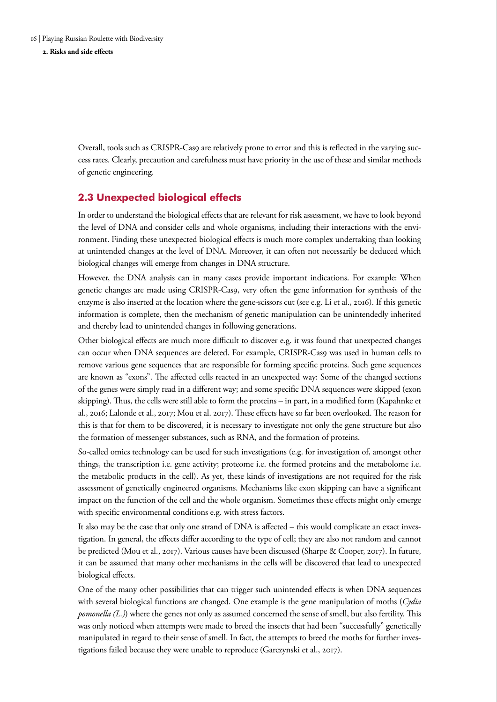<span id="page-15-0"></span>**2. Risks and side effects** 

Overall, tools such as CRISPR-Cas9 are relatively prone to error and this is reflected in the varying success rates. Clearly, precaution and carefulness must have priority in the use of these and similar methods of genetic engineering.

# **2.3 Unexpected biological effects**

In order to understand the biological effects that are relevant for risk assessment, we have to look beyond the level of DNA and consider cells and whole organisms, including their interactions with the environment. Finding these unexpected biological effects is much more complex undertaking than looking at unintended changes at the level of DNA. Moreover, it can often not necessarily be deduced which biological changes will emerge from changes in DNA structure.

However, the DNA analysis can in many cases provide important indications. For example: When genetic changes are made using CRISPR-Cas9, very often the gene information for synthesis of the enzyme is also inserted at the location where the gene-scissors cut (see e.g. Li et al., 2016). If this genetic information is complete, then the mechanism of genetic manipulation can be unintendedly inherited and thereby lead to unintended changes in following generations.

Other biological effects are much more difficult to discover e.g. it was found that unexpected changes can occur when DNA sequences are deleted. For example, CRISPR-Cas9 was used in human cells to remove various gene sequences that are responsible for forming specific proteins. Such gene sequences are known as "exons". The affected cells reacted in an unexpected way: Some of the changed sections of the genes were simply read in a different way; and some specific DNA sequences were skipped (exon skipping). Thus, the cells were still able to form the proteins – in part, in a modified form (Kapahnke et al., 2016; Lalonde et al., 2017; Mou et al. 2017). These effects have so far been overlooked. The reason for this is that for them to be discovered, it is necessary to investigate not only the gene structure but also the formation of messenger substances, such as RNA, and the formation of proteins.

So-called omics technology can be used for such investigations (e.g. for investigation of, amongst other things, the transcription i.e. gene activity; proteome i.e. the formed proteins and the metabolome i.e. the metabolic products in the cell). As yet, these kinds of investigations are not required for the risk assessment of genetically engineered organisms. Mechanisms like exon skipping can have a significant impact on the function of the cell and the whole organism. Sometimes these effects might only emerge with specific environmental conditions e.g. with stress factors.

It also may be the case that only one strand of DNA is affected – this would complicate an exact investigation. In general, the effects differ according to the type of cell; they are also not random and cannot be predicted (Mou et al., 2017). Various causes have been discussed (Sharpe & Cooper, 2017). In future, it can be assumed that many other mechanisms in the cells will be discovered that lead to unexpected biological effects.

One of the many other possibilities that can trigger such unintended effects is when DNA sequences with several biological functions are changed. One example is the gene manipulation of moths (*Cydia pomonella (L.)*) where the genes not only as assumed concerned the sense of smell, but also fertility. This was only noticed when attempts were made to breed the insects that had been "successfully" genetically manipulated in regard to their sense of smell. In fact, the attempts to breed the moths for further investigations failed because they were unable to reproduce (Garczynski et al., 2017).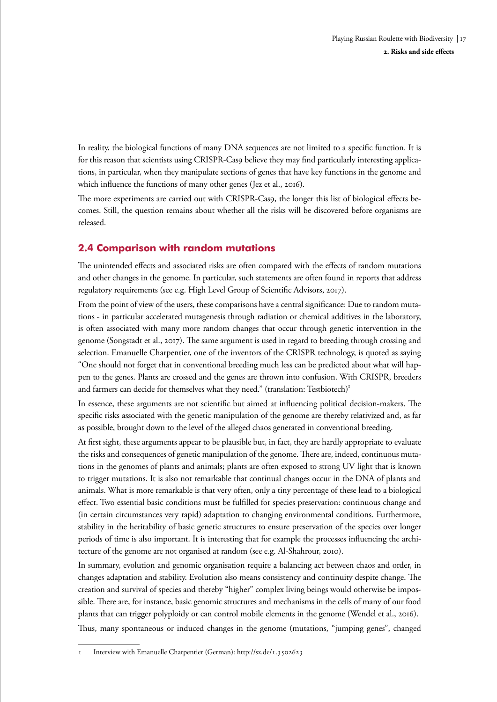<span id="page-16-0"></span>In reality, the biological functions of many DNA sequences are not limited to a specific function. It is for this reason that scientists using CRISPR-Cas9 believe they may find particularly interesting applications, in particular, when they manipulate sections of genes that have key functions in the genome and which influence the functions of many other genes (Jez et al., 2016).

The more experiments are carried out with CRISPR-Cas9, the longer this list of biological effects becomes. Still, the question remains about whether all the risks will be discovered before organisms are released.

# **2.4 Comparison with random mutations**

The unintended effects and associated risks are often compared with the effects of random mutations and other changes in the genome. In particular, such statements are often found in reports that address regulatory requirements (see e.g. High Level Group of Scientific Advisors, 2017).

From the point of view of the users, these comparisons have a central significance: Due to random mutations - in particular accelerated mutagenesis through radiation or chemical additives in the laboratory, is often associated with many more random changes that occur through genetic intervention in the genome (Songstadt et al., 2017). The same argument is used in regard to breeding through crossing and selection. Emanuelle Charpentier, one of the inventors of the CRISPR technology, is quoted as saying "One should not forget that in conventional breeding much less can be predicted about what will happen to the genes. Plants are crossed and the genes are thrown into confusion. With CRISPR, breeders and farmers can decide for themselves what they need." (translation: Testbiotech)<sup>1</sup>

In essence, these arguments are not scientific but aimed at influencing political decision-makers. The specific risks associated with the genetic manipulation of the genome are thereby relativized and, as far as possible, brought down to the level of the alleged chaos generated in conventional breeding.

At first sight, these arguments appear to be plausible but, in fact, they are hardly appropriate to evaluate the risks and consequences of genetic manipulation of the genome. There are, indeed, continuous mutations in the genomes of plants and animals; plants are often exposed to strong UV light that is known to trigger mutations. It is also not remarkable that continual changes occur in the DNA of plants and animals. What is more remarkable is that very often, only a tiny percentage of these lead to a biological effect. Two essential basic conditions must be fulfilled for species preservation: continuous change and (in certain circumstances very rapid) adaptation to changing environmental conditions. Furthermore, stability in the heritability of basic genetic structures to ensure preservation of the species over longer periods of time is also important. It is interesting that for example the processes influencing the architecture of the genome are not organised at random (see e.g. Al-Shahrour, 2010).

In summary, evolution and genomic organisation require a balancing act between chaos and order, in changes adaptation and stability. Evolution also means consistency and continuity despite change. The creation and survival of species and thereby "higher" complex living beings would otherwise be impossible. There are, for instance, basic genomic structures and mechanisms in the cells of many of our food plants that can trigger polyploidy or can control mobile elements in the genome (Wendel et al., 2016).

Thus, many spontaneous or induced changes in the genome (mutations, "jumping genes", changed

<sup>1</sup> Interview with Emanuelle Charpentier (German): http://sz.de/1.3502623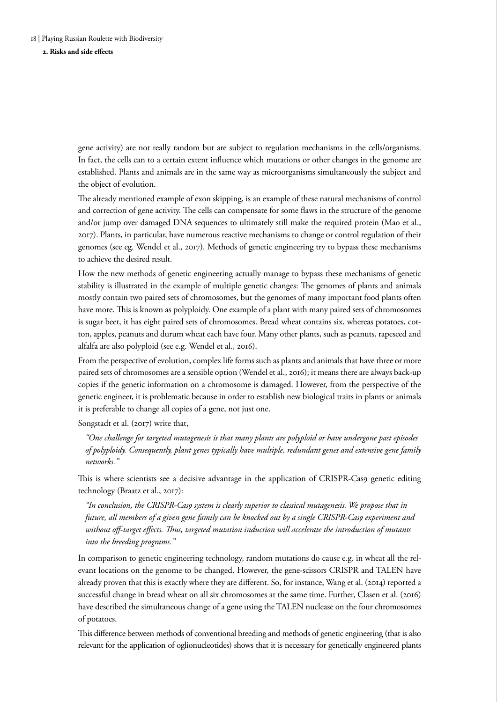#### **2. Risks and side effects**

gene activity) are not really random but are subject to regulation mechanisms in the cells/organisms. In fact, the cells can to a certain extent influence which mutations or other changes in the genome are established. Plants and animals are in the same way as microorganisms simultaneously the subject and the object of evolution.

The already mentioned example of exon skipping, is an example of these natural mechanisms of control and correction of gene activity. The cells can compensate for some flaws in the structure of the genome and/or jump over damaged DNA sequences to ultimately still make the required protein (Mao et al., 2017). Plants, in particular, have numerous reactive mechanisms to change or control regulation of their genomes (see eg. Wendel et al., 2017). Methods of genetic engineering try to bypass these mechanisms to achieve the desired result.

How the new methods of genetic engineering actually manage to bypass these mechanisms of genetic stability is illustrated in the example of multiple genetic changes: The genomes of plants and animals mostly contain two paired sets of chromosomes, but the genomes of many important food plants often have more. This is known as polyploidy. One example of a plant with many paired sets of chromosomes is sugar beet, it has eight paired sets of chromosomes. Bread wheat contains six, whereas potatoes, cotton, apples, peanuts and durum wheat each have four. Many other plants, such as peanuts, rapeseed and alfalfa are also polyploid (see e.g. Wendel et al., 2016).

From the perspective of evolution, complex life forms such as plants and animals that have three or more paired sets of chromosomes are a sensible option (Wendel et al., 2016); it means there are always back-up copies if the genetic information on a chromosome is damaged. However, from the perspective of the genetic engineer, it is problematic because in order to establish new biological traits in plants or animals it is preferable to change all copies of a gene, not just one.

Songstadt et al. (2017) write that,

*"One challenge for targeted mutagenesis is that many plants are polyploid or have undergone past episodes of polyploidy. Consequently, plant genes typically have multiple, redundant genes and extensive gene family networks."*

This is where scientists see a decisive advantage in the application of CRISPR-Cas9 genetic editing technology (Braatz et al., 2017):

*"In conclusion, the CRISPR-Cas9 system is clearly superior to classical mutagenesis. We propose that in future, all members of a given gene family can be knocked out by a single CRISPR-Cas9 experiment and without off-target effects. Thus, targeted mutation induction will accelerate the introduction of mutants into the breeding programs."*

In comparison to genetic engineering technology, random mutations do cause e.g. in wheat all the relevant locations on the genome to be changed. However, the gene-scissors CRISPR and TALEN have already proven that this is exactly where they are different. So, for instance, Wang et al. (2014) reported a successful change in bread wheat on all six chromosomes at the same time. Further, Clasen et al. (2016) have described the simultaneous change of a gene using the TALEN nuclease on the four chromosomes of potatoes.

This difference between methods of conventional breeding and methods of genetic engineering (that is also relevant for the application of oglionucleotides) shows that it is necessary for genetically engineered plants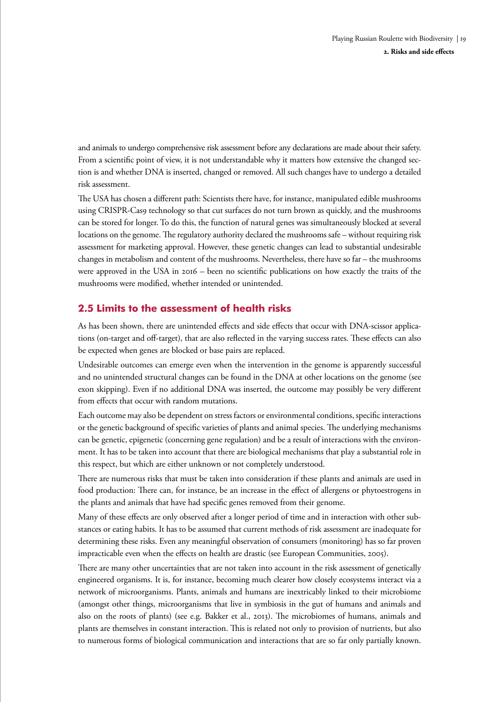<span id="page-18-0"></span>and animals to undergo comprehensive risk assessment before any declarations are made about their safety. From a scientific point of view, it is not understandable why it matters how extensive the changed section is and whether DNA is inserted, changed or removed. All such changes have to undergo a detailed risk assessment.

The USA has chosen a different path: Scientists there have, for instance, manipulated edible mushrooms using CRISPR-Cas9 technology so that cut surfaces do not turn brown as quickly, and the mushrooms can be stored for longer. To do this, the function of natural genes was simultaneously blocked at several locations on the genome. The regulatory authority declared the mushrooms safe – without requiring risk assessment for marketing approval. However, these genetic changes can lead to substantial undesirable changes in metabolism and content of the mushrooms. Nevertheless, there have so far – the mushrooms were approved in the USA in 2016 – been no scientific publications on how exactly the traits of the mushrooms were modified, whether intended or unintended.

# **2.5 Limits to the assessment of health risks**

As has been shown, there are unintended effects and side effects that occur with DNA-scissor applications (on-target and off-target), that are also reflected in the varying success rates. These effects can also be expected when genes are blocked or base pairs are replaced.

Undesirable outcomes can emerge even when the intervention in the genome is apparently successful and no unintended structural changes can be found in the DNA at other locations on the genome (see exon skipping). Even if no additional DNA was inserted, the outcome may possibly be very different from effects that occur with random mutations.

Each outcome may also be dependent on stress factors or environmental conditions, specific interactions or the genetic background of specific varieties of plants and animal species. The underlying mechanisms can be genetic, epigenetic (concerning gene regulation) and be a result of interactions with the environment. It has to be taken into account that there are biological mechanisms that play a substantial role in this respect, but which are either unknown or not completely understood.

There are numerous risks that must be taken into consideration if these plants and animals are used in food production: There can, for instance, be an increase in the effect of allergens or phytoestrogens in the plants and animals that have had specific genes removed from their genome.

Many of these effects are only observed after a longer period of time and in interaction with other substances or eating habits. It has to be assumed that current methods of risk assessment are inadequate for determining these risks. Even any meaningful observation of consumers (monitoring) has so far proven impracticable even when the effects on health are drastic (see European Communities, 2005).

There are many other uncertainties that are not taken into account in the risk assessment of genetically engineered organisms. It is, for instance, becoming much clearer how closely ecosystems interact via a network of microorganisms. Plants, animals and humans are inextricably linked to their microbiome (amongst other things, microorganisms that live in symbiosis in the gut of humans and animals and also on the roots of plants) (see e.g. Bakker et al., 2013). The microbiomes of humans, animals and plants are themselves in constant interaction. This is related not only to provision of nutrients, but also to numerous forms of biological communication and interactions that are so far only partially known.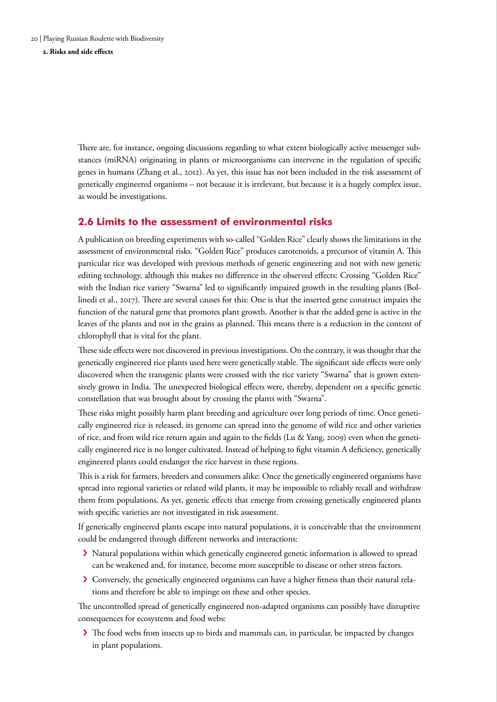<span id="page-19-0"></span>**2. Risks and side effects** 

There are, for instance, ongoing discussions regarding to what extent biologically active messenger substances (miRNA) originating in plants or microorganisms can intervene in the regulation of specific genes in humans (Zhang et al., 2012). As yet, this issue has not been included in the risk assessment of genetically engineered organisms – not because it is irrelevant, but because it is a hugely complex issue, as would be investigations.

### **2.6 Limits to the assessment of environmental risks**

A publication on breeding experiments with so-called "Golden Rice" clearly shows the limitations in the assessment of environmental risks. "Golden Rice" produces carotenoids, a precursor of vitamin A. This particular rice was developed with previous methods of genetic engineering and not with new genetic editing technology, although this makes no difference in the observed effects: Crossing "Golden Rice" with the Indian rice variety "Swarna" led to significantly impaired growth in the resulting plants (Bollinedi et al., 2017). There are several causes for this: One is that the inserted gene construct impairs the function of the natural gene that promotes plant growth. Another is that the added gene is active in the leaves of the plants and not in the grains as planned. This means there is a reduction in the content of chlorophyll that is vital for the plant.

These side effects were not discovered in previous investigations. On the contrary, it was thought that the genetically engineered rice plants used here were genetically stable. The significant side effects were only discovered when the transgenic plants were crossed with the rice variety "Swarna" that is grown extensively grown in India. The unexpected biological effects were, thereby, dependent on a specific genetic constellation that was brought about by crossing the plants with "Swarna".

These risks might possibly harm plant breeding and agriculture over long periods of time. Once genetically engineered rice is released, its genome can spread into the genome of wild rice and other varieties of rice, and from wild rice return again and again to the fields (Lu & Yang, 2009) even when the genetically engineered rice is no longer cultivated. Instead of helping to fight vitamin A deficiency, genetically engineered plants could endanger the rice harvest in these regions.

This is a risk for farmers, breeders and consumers alike: Once the genetically engineered organisms have spread into regional varieties or related wild plants, it may be impossible to reliably recall and withdraw them from populations. As yet, genetic effects that emerge from crossing genetically engineered plants with specific varieties are not investigated in risk assessment.

If genetically engineered plants escape into natural populations, it is conceivable that the environment could be endangered through different networks and interactions:

- › Natural populations within which genetically engineered genetic information is allowed to spread can be weakened and, for instance, become more susceptible to disease or other stress factors.
- › Conversely, the genetically engineered organisms can have a higher fitness than their natural relations and therefore be able to impinge on these and other species.

The uncontrolled spread of genetically engineered non-adapted organisms can possibly have disruptive consequences for ecosystems and food webs:

› The food webs from insects up to birds and mammals can, in particular, be impacted by changes in plant populations.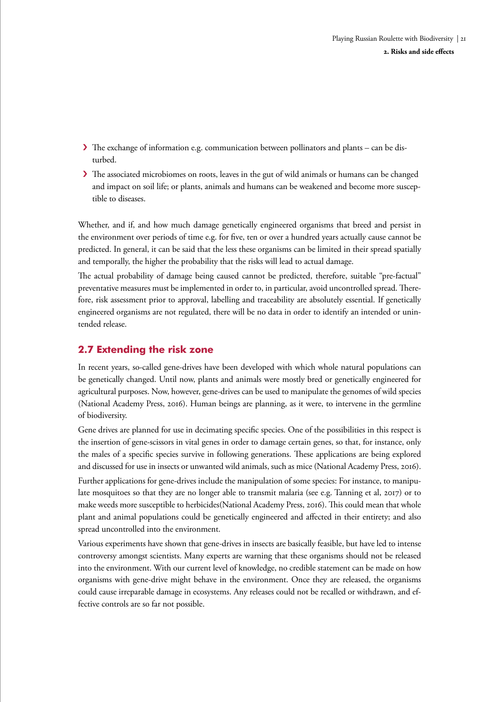- <span id="page-20-0"></span>› The exchange of information e.g. communication between pollinators and plants – can be disturbed.
- > The associated microbiomes on roots, leaves in the gut of wild animals or humans can be changed and impact on soil life; or plants, animals and humans can be weakened and become more susceptible to diseases.

Whether, and if, and how much damage genetically engineered organisms that breed and persist in the environment over periods of time e.g. for five, ten or over a hundred years actually cause cannot be predicted. In general, it can be said that the less these organisms can be limited in their spread spatially and temporally, the higher the probability that the risks will lead to actual damage.

The actual probability of damage being caused cannot be predicted, therefore, suitable "pre-factual" preventative measures must be implemented in order to, in particular, avoid uncontrolled spread. Therefore, risk assessment prior to approval, labelling and traceability are absolutely essential. If genetically engineered organisms are not regulated, there will be no data in order to identify an intended or unintended release.

# **2.7 Extending the risk zone**

In recent years, so-called gene-drives have been developed with which whole natural populations can be genetically changed. Until now, plants and animals were mostly bred or genetically engineered for agricultural purposes. Now, however, gene-drives can be used to manipulate the genomes of wild species (National Academy Press, 2016). Human beings are planning, as it were, to intervene in the germline of biodiversity.

Gene drives are planned for use in decimating specific species. One of the possibilities in this respect is the insertion of gene-scissors in vital genes in order to damage certain genes, so that, for instance, only the males of a specific species survive in following generations. These applications are being explored and discussed for use in insects or unwanted wild animals, such as mice (National Academy Press, 2016).

Further applications for gene-drives include the manipulation of some species: For instance, to manipulate mosquitoes so that they are no longer able to transmit malaria (see e.g. Tanning et al, 2017) or to make weeds more susceptible to herbicides(National Academy Press, 2016). This could mean that whole plant and animal populations could be genetically engineered and affected in their entirety; and also spread uncontrolled into the environment.

Various experiments have shown that gene-drives in insects are basically feasible, but have led to intense controversy amongst scientists. Many experts are warning that these organisms should not be released into the environment. With our current level of knowledge, no credible statement can be made on how organisms with gene-drive might behave in the environment. Once they are released, the organisms could cause irreparable damage in ecosystems. Any releases could not be recalled or withdrawn, and effective controls are so far not possible.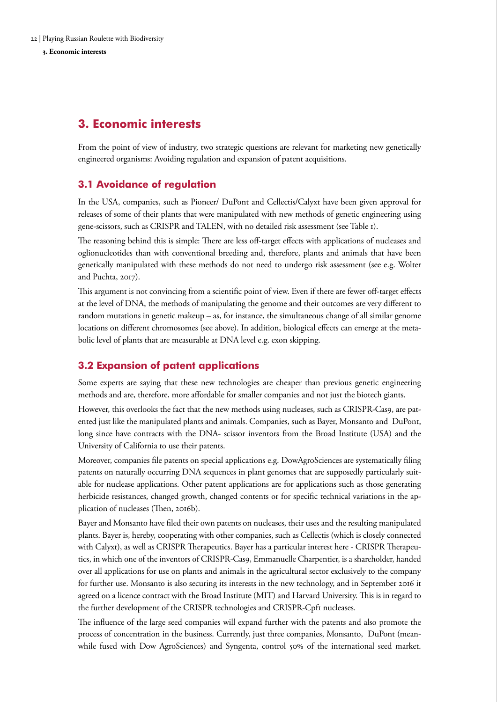<span id="page-21-0"></span>**3. Economic interests** 

# **3. Economic interests**

From the point of view of industry, two strategic questions are relevant for marketing new genetically engineered organisms: Avoiding regulation and expansion of patent acquisitions.

# **3.1 Avoidance of regulation**

In the USA, companies, such as Pioneer/ DuPont and Cellectis/Calyxt have been given approval for releases of some of their plants that were manipulated with new methods of genetic engineering using gene-scissors, such as CRISPR and TALEN, with no detailed risk assessment (see Table 1).

The reasoning behind this is simple: There are less off-target effects with applications of nucleases and oglionucleotides than with conventional breeding and, therefore, plants and animals that have been genetically manipulated with these methods do not need to undergo risk assessment (see e.g. Wolter and Puchta, 2017).

This argument is not convincing from a scientific point of view. Even if there are fewer off-target effects at the level of DNA, the methods of manipulating the genome and their outcomes are very different to random mutations in genetic makeup – as, for instance, the simultaneous change of all similar genome locations on different chromosomes (see above). In addition, biological effects can emerge at the metabolic level of plants that are measurable at DNA level e.g. exon skipping.

### **3.2 Expansion of patent applications**

Some experts are saying that these new technologies are cheaper than previous genetic engineering methods and are, therefore, more affordable for smaller companies and not just the biotech giants.

However, this overlooks the fact that the new methods using nucleases, such as CRISPR-Cas9, are patented just like the manipulated plants and animals. Companies, such as Bayer, Monsanto and DuPont, long since have contracts with the DNA- scissor inventors from the Broad Institute (USA) and the University of California to use their patents.

Moreover, companies file patents on special applications e.g. DowAgroSciences are systematically filing patents on naturally occurring DNA sequences in plant genomes that are supposedly particularly suitable for nuclease applications. Other patent applications are for applications such as those generating herbicide resistances, changed growth, changed contents or for specific technical variations in the application of nucleases (Then, 2016b).

Bayer and Monsanto have filed their own patents on nucleases, their uses and the resulting manipulated plants. Bayer is, hereby, cooperating with other companies, such as Cellectis (which is closely connected with Calyxt), as well as CRISPR Therapeutics. Bayer has a particular interest here - CRISPR Therapeutics, in which one of the inventors of CRISPR-Cas9, Emmanuelle Charpentier, is a shareholder, handed over all applications for use on plants and animals in the agricultural sector exclusively to the company for further use. Monsanto is also securing its interests in the new technology, and in September 2016 it agreed on a licence contract with the Broad Institute (MIT) and Harvard University. This is in regard to the further development of the CRISPR technologies and CRISPR-Cpf1 nucleases.

The influence of the large seed companies will expand further with the patents and also promote the process of concentration in the business. Currently, just three companies, Monsanto, DuPont (meanwhile fused with Dow AgroSciences) and Syngenta, control 50% of the international seed market.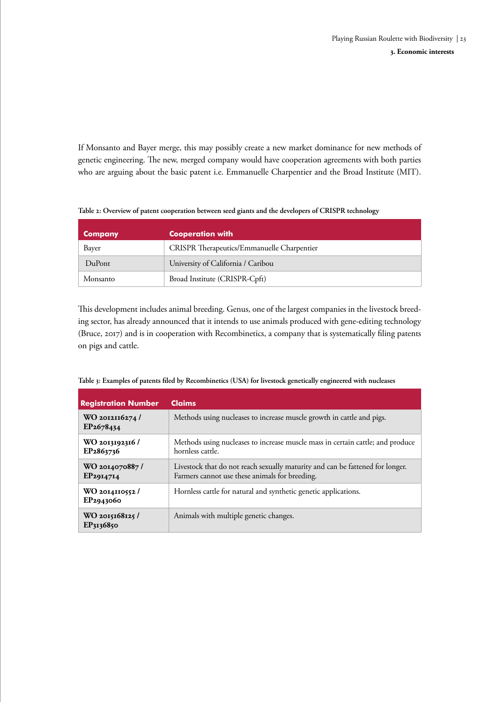If Monsanto and Bayer merge, this may possibly create a new market dominance for new methods of genetic engineering. The new, merged company would have cooperation agreements with both parties who are arguing about the basic patent i.e. Emmanuelle Charpentier and the Broad Institute (MIT).

| <b>Company</b> | <b>Cooperation with</b>                           |
|----------------|---------------------------------------------------|
| Bayer          | <b>CRISPR</b> Therapeutics/Emmanuelle Charpentier |
| DuPont         | University of California / Caribou                |
| Monsanto       | Broad Institute (CRISPR-Cpf1)                     |

**Table 2: Overview of patent cooperation between seed giants and the developers of CRISPR technology**

This development includes animal breeding. Genus, one of the largest companies in the livestock breeding sector, has already announced that it intends to use animals produced with gene-editing technology (Bruce, 2017) and is in cooperation with Recombinetics, a company that is systematically filing patents on pigs and cattle.

| <b>Registration Number</b>              | <b>Claims</b>                                                                                                                   |
|-----------------------------------------|---------------------------------------------------------------------------------------------------------------------------------|
| WO 2012116274/<br>EP <sub>2678434</sub> | Methods using nucleases to increase muscle growth in cattle and pigs.                                                           |
| WO 2013192316/<br>EP <sub>2863736</sub> | Methods using nucleases to increase muscle mass in certain cattle; and produce<br>hornless cattle.                              |
| WO 2014070887/<br>EP2914714             | Livestock that do not reach sexually maturity and can be fattened for longer.<br>Farmers cannot use these animals for breeding. |
| $WO$ 2014110552/<br>EP2943060           | Hornless cattle for natural and synthetic genetic applications.                                                                 |

Animals with multiple genetic changes.

**WO 2015168125 / EP3136850** 

**Table 3: Examples of patents filed by Recombinetics (USA) for livestock genetically engineered with nucleases**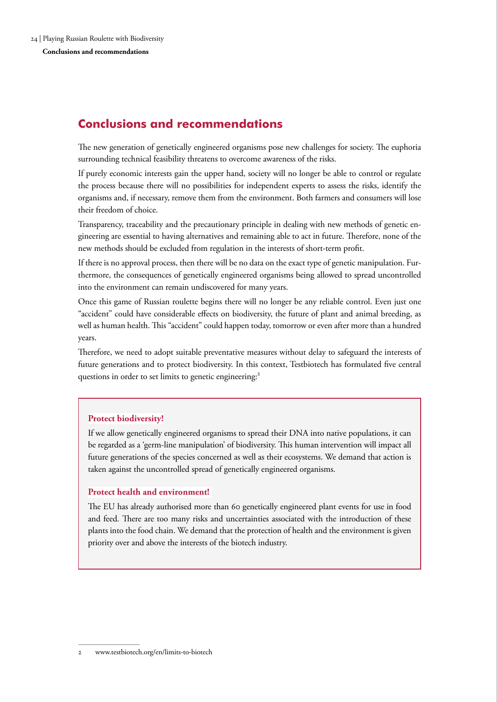# <span id="page-23-0"></span>**Conclusions and recommendations**

The new generation of genetically engineered organisms pose new challenges for society. The euphoria surrounding technical feasibility threatens to overcome awareness of the risks.

If purely economic interests gain the upper hand, society will no longer be able to control or regulate the process because there will no possibilities for independent experts to assess the risks, identify the organisms and, if necessary, remove them from the environment. Both farmers and consumers will lose their freedom of choice.

Transparency, traceability and the precautionary principle in dealing with new methods of genetic engineering are essential to having alternatives and remaining able to act in future. Therefore, none of the new methods should be excluded from regulation in the interests of short-term profit.

If there is no approval process, then there will be no data on the exact type of genetic manipulation. Furthermore, the consequences of genetically engineered organisms being allowed to spread uncontrolled into the environment can remain undiscovered for many years.

Once this game of Russian roulette begins there will no longer be any reliable control. Even just one "accident" could have considerable effects on biodiversity, the future of plant and animal breeding, as well as human health. This "accident" could happen today, tomorrow or even after more than a hundred years.

Therefore, we need to adopt suitable preventative measures without delay to safeguard the interests of future generations and to protect biodiversity. In this context, Testbiotech has formulated five central questions in order to set limits to genetic engineering:<sup>2</sup>

# **Protect biodiversity!**

If we allow genetically engineered organisms to spread their DNA into native populations, it can be regarded as a 'germ-line manipulation' of biodiversity. This human intervention will impact all future generations of the species concerned as well as their ecosystems. We demand that action is taken against the uncontrolled spread of genetically engineered organisms.

### **Protect health and environment!**

The EU has already authorised more than 60 genetically engineered plant events for use in food and feed. There are too many risks and uncertainties associated with the introduction of these plants into the food chain. We demand that the protection of health and the environment is given priority over and above the interests of the biotech industry.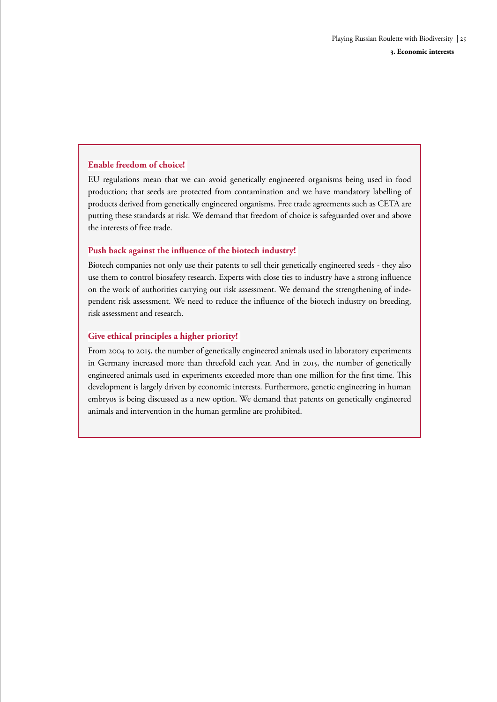### **Enable freedom of choice!**

EU regulations mean that we can avoid genetically engineered organisms being used in food production; that seeds are protected from contamination and we have mandatory labelling of products derived from genetically engineered organisms. Free trade agreements such as CETA are putting these standards at risk. We demand that freedom of choice is safeguarded over and above the interests of free trade.

### **Push back against the influence of the biotech industry!**

Biotech companies not only use their patents to sell their genetically engineered seeds - they also use them to control biosafety research. Experts with close ties to industry have a strong influence on the work of authorities carrying out risk assessment. We demand the strengthening of independent risk assessment. We need to reduce the influence of the biotech industry on breeding, risk assessment and research.

### **Give ethical principles a higher priority!**

From 2004 to 2015, the number of genetically engineered animals used in laboratory experiments in Germany increased more than threefold each year. And in 2015, the number of genetically engineered animals used in experiments exceeded more than one million for the first time. This development is largely driven by economic interests. Furthermore, genetic engineering in human embryos is being discussed as a new option. We demand that patents on genetically engineered animals and intervention in the human germline are prohibited.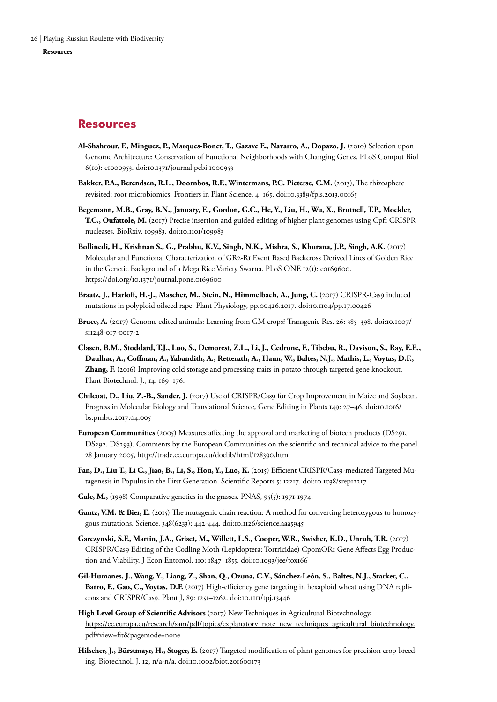#### <span id="page-25-0"></span>**Resources**

### **Resources**

- **Al-Shahrour, F., Minguez, P., Marques-Bonet, T., Gazave E., Navarro, A., Dopazo, J.** (2010) Selection upon Genome Architecture: Conservation of Functional Neighborhoods with Changing Genes. PLoS Comput Biol 6(10): e1000953. doi:10.1371/journal.pcbi.1000953
- Bakker, P.A., Berendsen, R.L., Doornbos, R.F., Wintermans, P.C. Pieterse, C.M. (2013), The rhizosphere revisited: root microbiomics. Frontiers in Plant Science, 4: 165. doi:10.3389/fpls.2013.00165
- **Begemann, M.B., Gray, B.N., January, E., Gordon, G.C., He, Y., Liu, H., Wu, X., Brutnell, T.P., Mockler, T.C., Oufattole, M.** (2017) Precise insertion and guided editing of higher plant genomes using Cpf1 CRISPR nucleases. BioRxiv, 109983. doi:10.1101/109983
- **Bollinedi, H., Krishnan S., G., Prabhu, K.V., Singh, N.K., Mishra, S., Khurana, J.P., Singh, A.K.** (2017) Molecular and Functional Characterization of GR2-R1 Event Based Backcross Derived Lines of Golden Rice in the Genetic Background of a Mega Rice Variety Swarna. PLoS ONE 12(1): e0169600. https://doi.org/10.1371/journal.pone.0169600
- **Braatz, J., Harloff, H.-J., Mascher, M., Stein, N., Himmelbach, A., Jung, C.** (2017) CRISPR-Cas9 induced mutations in polyploid oilseed rape. Plant Physiology, pp.00426.2017. doi:10.1104/pp.17.00426
- **Bruce, A.** (2017) Genome edited animals: Learning from GM crops? Transgenic Res. 26: 385–398. doi:10.1007/ s11248-017-0017-2
- **Clasen, B.M., Stoddard, T.J., Luo, S., Demorest, Z.L., Li, J., Cedrone, F., Tibebu, R., Davison, S., Ray, E.E., Daulhac, A., Coffman, A., Yabandith, A., Retterath, A., Haun, W., Baltes, N.J., Mathis, L., Voytas, D.F., Zhang, F.** (2016) Improving cold storage and processing traits in potato through targeted gene knockout. Plant Biotechnol. J., 14: 169–176.
- **Chilcoat, D., Liu, Z.-B., Sander, J.** (2017) Use of CRISPR/Cas9 for Crop Improvement in Maize and Soybean. Progress in Molecular Biology and Translational Science, Gene Editing in Plants 149: 27–46. doi:10.1016/ bs.pmbts.2017.04.005
- **European Communities** (2005) Measures affecting the approval and marketing of biotech products (DS291, DS292, DS293). Comments by the European Communities on the scientific and technical advice to the panel. 28 January 2005, http://trade.ec.europa.eu/doclib/html/128390.htm
- **Fan, D., Liu T., Li C., Jiao, B., Li, S., Hou, Y., Luo, K.** (2015) Efficient CRISPR/Cas9-mediated Targeted Mutagenesis in Populus in the First Generation. Scientific Reports 5: 12217. doi:10.1038/srep12217
- Gale, M., (1998) Comparative genetics in the grasses. PNAS, 95(5): 1971-1974.
- Gantz, V.M. & Bier, E. (2015) The mutagenic chain reaction: A method for converting heterozygous to homozygous mutations. Science, 348(6233): 442-444. doi:10.1126/science.aaa5945
- **Garczynski, S.F., Martin, J.A., Griset, M., Willett, L.S., Cooper, W.R., Swisher, K.D., Unruh, T.R.** (2017) CRISPR/Cas9 Editing of the Codling Moth (Lepidoptera: Tortricidae) CpomOR1 Gene Affects Egg Production and Viability. J Econ Entomol, 110: 1847–1855. doi:10.1093/jee/tox166
- **Gil-Humanes, J., Wang, Y., Liang, Z., Shan, Q., Ozuna, C.V., Sánchez-León, S., Baltes, N.J., Starker, C., Barro, F., Gao, C., Voytas, D.F.** (2017) High-efficiency gene targeting in hexaploid wheat using DNA replicons and CRISPR/Cas9. Plant J, 89: 1251–1262. doi:10.1111/tpj.13446
- **High Level Group of Scientific Advisors** (2017) New Techniques in Agricultural Biotechnology, [https://ec.europa.eu/research/sam/pdf/topics/explanatory\\_note\\_new\\_techniques\\_agricultural\\_biotechnology.](https://ec.europa.eu/research/sam/pdf/topics/explanatory_note_new_techniques_agricultural_biotechnology.pdf#view=fit&pagemode=none) [pdf#view=fit&pagemode=none](https://ec.europa.eu/research/sam/pdf/topics/explanatory_note_new_techniques_agricultural_biotechnology.pdf#view=fit&pagemode=none)
- **Hilscher, J., Bürstmayr, H., Stoger, E.** (2017) Targeted modification of plant genomes for precision crop breeding. Biotechnol. J. 12, n/a-n/a. doi:10.1002/biot.201600173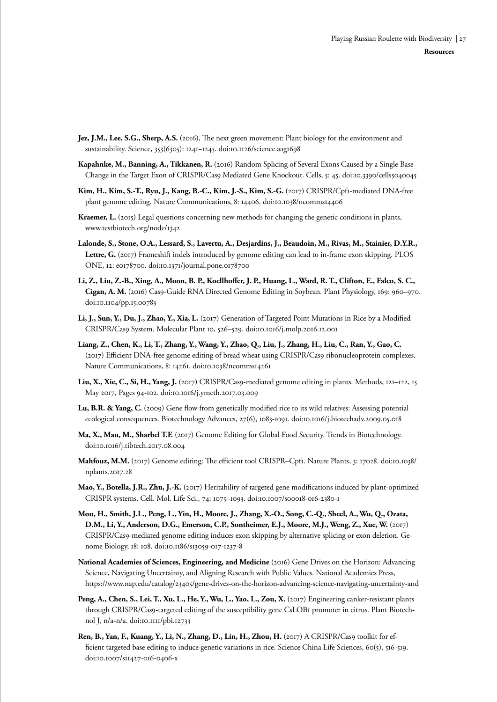- **Jez, J.M., Lee, S.G., Sherp, A.S.** (2016), The next green movement: Plant biology for the environment and sustainability. Science, 353(6305): 1241−1245. doi:10.1126/science.aag1698
- **Kapahnke, M., Banning, A., Tikkanen, R.** (2016) Random Splicing of Several Exons Caused by a Single Base Change in the Target Exon of CRISPR/Cas9 Mediated Gene Knockout. Cells, 5: 45. doi:10.3390/cells5040045
- **Kim, H., Kim, S.-T., Ryu, J., Kang, B.-C., Kim, J.-S., Kim, S.-G.** (2017) CRISPR/Cpf1-mediated DNA-free plant genome editing. Nature Communications, 8: 14406. doi:10.1038/ncomms14406
- **Kraemer, L.** (2015) Legal questions concerning new methods for changing the genetic conditions in plants, www.testbiotech.org/node/1342
- **Lalonde, S., Stone, O.A., Lessard, S., Lavertu, A., Desjardins, J., Beaudoin, M., Rivas, M., Stainier, D.Y.R., Lettre, G.** (2017) Frameshift indels introduced by genome editing can lead to in-frame exon skipping. PLOS ONE, 12: e0178700. doi:10.1371/journal.pone.0178700
- **Li, Z., Liu, Z.-B., Xing, A., Moon, B. P., Koellhoffer, J. P., Huang, L., Ward, R. T., Clifton, E., Falco, S. C., Cigan, A. M.** (2016) Cas9-Guide RNA Directed Genome Editing in Soybean. Plant Physiology, 169: 960–970. doi:10.1104/pp.15.00783
- **Li, J., Sun, Y., Du, J., Zhao, Y., Xia, L.** (2017) Generation of Targeted Point Mutations in Rice by a Modified CRISPR/Cas9 System. Molecular Plant 10, 526–529. doi:10.1016/j.molp.2016.12.001
- **Liang, Z., Chen, K., Li, T., Zhang, Y., Wang, Y., Zhao, Q., Liu, J., Zhang, H., Liu, C., Ran, Y., Gao, C.**  (2017) Efficient DNA-free genome editing of bread wheat using CRISPR/Cas9 ribonucleoprotein complexes. Nature Communications, 8: 14261. doi:10.1038/ncomms14261
- **Liu, X., Xie, C., Si, H., Yang, J.** (2017) CRISPR/Cas9-mediated genome editing in plants. Methods, 121–122, 15 May 2017, Pages 94-102. doi:10.1016/j.ymeth.2017.03.009
- **Lu, B.R. & Yang, C.** (2009) Gene flow from genetically modified rice to its wild relatives: Assessing potential ecological consequences. Biotechnology Advances, 27(6), 1083-1091. doi:10.1016/j.biotechadv.2009.05.018
- **Ma, X., Mau, M., Sharbel T.F.** (2017) Genome Editing for Global Food Security. Trends in Biotechnology. doi:10.1016/j.tibtech.2017.08.004
- Mahfouz, M.M. (2017) Genome editing: The efficient tool CRISPR–Cpf1. Nature Plants, 3: 17028. doi:10.1038/ nplants.2017.28
- **Mao, Y., Botella, J.R., Zhu, J.-K.** (2017) Heritability of targeted gene modifications induced by plant-optimized CRISPR systems. Cell. Mol. Life Sci., 74: 1075–1093. doi:10.1007/s00018-016-2380-1
- **Mou, H., Smith, J.L., Peng, L., Yin, H., Moore, J., Zhang, X.-O., Song, C.-Q., Sheel, A., Wu, Q., Ozata, D.M., Li, Y., Anderson, D.G., Emerson, C.P., Sontheimer, E.J., Moore, M.J., Weng, Z., Xue, W.** (2017) CRISPR/Cas9-mediated genome editing induces exon skipping by alternative splicing or exon deletion. Genome Biology, 18: 108. doi:10.1186/s13059-017-1237-8
- **National Academies of Sciences, Engineering, and Medicine** (2016) Gene Drives on the Horizon: Advancing Science, Navigating Uncertainty, and Aligning Research with Public Values. National Academies Press, https://www.nap.edu/catalog/23405/gene-drives-on-the-horizon-advancing-science-navigating-uncertainty-and
- **Peng, A., Chen, S., Lei, T., Xu, L., He, Y., Wu, L., Yao, L., Zou, X.** (2017) Engineering canker-resistant plants through CRISPR/Cas9-targeted editing of the susceptibility gene CsLOB1 promoter in citrus. Plant Biotechnol J, n/a-n/a. doi:10.1111/pbi.12733
- **Ren, B., Yan, F., Kuang, Y., Li, N., Zhang, D., Lin, H., Zhou, H.** (2017) A CRISPR/Cas9 toolkit for efficient targeted base editing to induce genetic variations in rice. Science China Life Sciences, 60(5), 516-519. doi:10.1007/s11427-016-0406-x